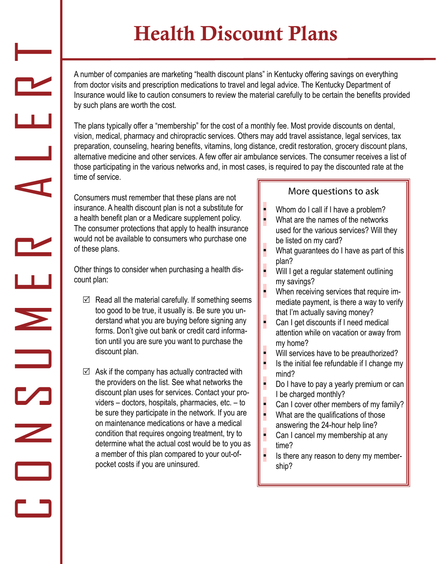## Health Discount Plans

A number of companies are marketing "health discount plans" in Kentucky offering savings on everything from doctor visits and prescription medications to travel and legal advice. The Kentucky Department of Insurance would like to caution consumers to review the material carefully to be certain the benefits provided by such plans are worth the cost.

The plans typically offer a "membership" for the cost of a monthly fee. Most provide discounts on dental, vision, medical, pharmacy and chiropractic services. Others may add travel assistance, legal services, tax preparation, counseling, hearing benefits, vitamins, long distance, credit restoration, grocery discount plans, alternative medicine and other services. A few offer air ambulance services. The consumer receives a list of those participating in the various networks and, in most cases, is required to pay the discounted rate at the time of service.

▪

Consumers must remember that these plans are not insurance. A health discount plan is not a substitute for a health benefit plan or a Medicare supplement policy. The consumer protections that apply to health insurance would not be available to consumers who purchase one of these plans.

Other things to consider when purchasing a health discount plan:

C O N S M E R H E R H E R H

 $\blacktriangleright$ 

 $\overline{\phantom{a}}$ 

 $\mathbf{L}$ 

 $\overline{\phantom{a}}$ 

 $\mathbf{r}$ 

- $\boxtimes$  Read all the material carefully. If something seems too good to be true, it usually is. Be sure you understand what you are buying before signing any forms. Don't give out bank or credit card information until you are sure you want to purchase the discount plan.
- $\boxtimes$  Ask if the company has actually contracted with the providers on the list. See what networks the discount plan uses for services. Contact your providers – doctors, hospitals, pharmacies, etc. – to be sure they participate in the network. If you are on maintenance medications or have a medical condition that requires ongoing treatment, try to determine what the actual cost would be to you as a member of this plan compared to your out-ofpocket costs if you are uninsured.

## More questions to ask

- Whom do I call if I have a problem?
- What are the names of the networks used for the various services? Will they be listed on my card? ▪
- What guarantees do I have as part of this plan? ▪
- Will I get a regular statement outlining my savings? ▪
- When receiving services that require immediate payment, is there a way to verify that I'm actually saving money? ▪
- Can I get discounts if I need medical attention while on vacation or away from my home? ▪
- Will services have to be preauthorized? ▪
- Is the initial fee refundable if I change my mind? ▪
- Do I have to pay a yearly premium or can I be charged monthly? ▪
- Can I cover other members of my family? ▪
- What are the qualifications of those answering the 24-hour help line? ▪
- Can I cancel my membership at any time? ▪
- Is there any reason to deny my membership? ▪